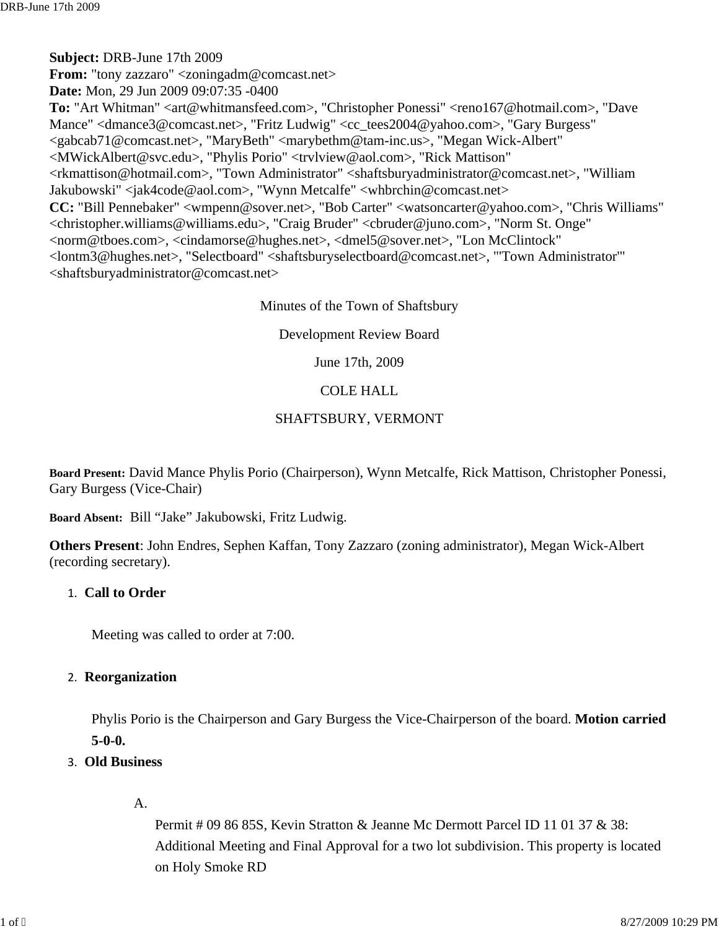Minutes of the Town of Shaftsbury

Development Review Board

June 17th, 2009

# COLE HALL

# SHAFTSBURY, VERMONT

**Board Present:** David Mance Phylis Porio (Chairperson), Wynn Metcalfe, Rick Mattison, Christopher Ponessi, Gary Burgess (Vice-Chair)

**Board Absent:** Bill "Jake" Jakubowski, Fritz Ludwig.

**Others Present**: John Endres, Sephen Kaffan, Tony Zazzaro (zoning administrator), Megan Wick-Albert (recording secretary).

# 1. **Call to Order**

Meeting was called to order at 7:00.

# 2. **Reorganization**

Phylis Porio is the Chairperson and Gary Burgess the Vice-Chairperson of the board. **Motion carried 5-0-0.**

- 3. **Old Business** 
	- A.

Permit # 09 86 85S, Kevin Stratton & Jeanne Mc Dermott Parcel ID 11 01 37 & 38: Additional Meeting and Final Approval for a two lot subdivision. This property is located on Holy Smoke RD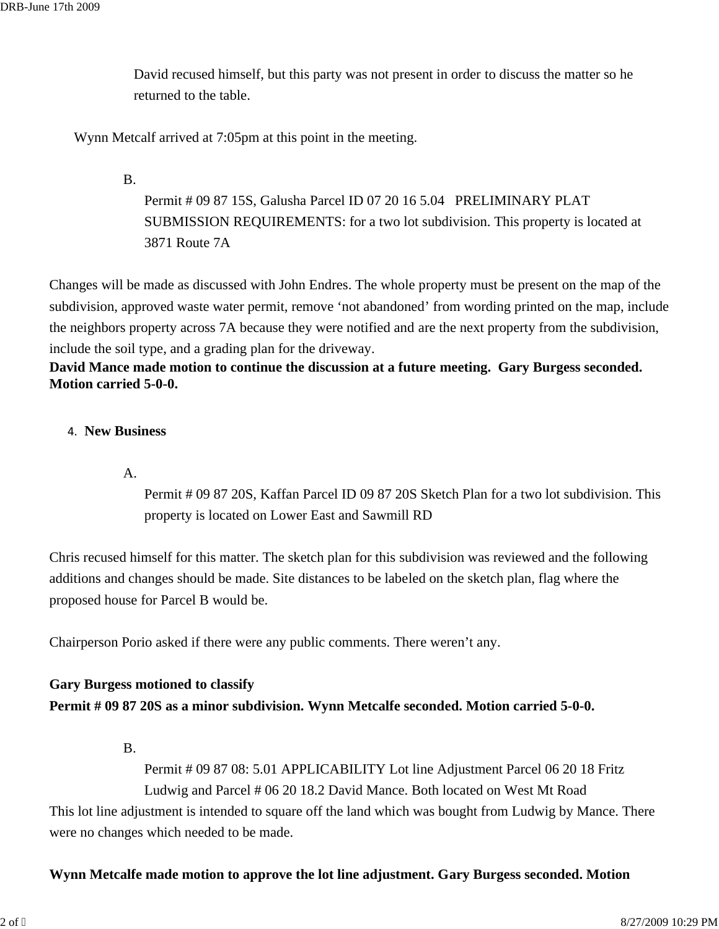David recused himself, but this party was not present in order to discuss the matter so he returned to the table.

Wynn Metcalf arrived at 7:05pm at this point in the meeting.

B.

Permit # 09 87 15S, Galusha Parcel ID 07 20 16 5.04 PRELIMINARY PLAT SUBMISSION REQUIREMENTS: for a two lot subdivision. This property is located at 3871 Route 7A

Changes will be made as discussed with John Endres. The whole property must be present on the map of the subdivision, approved waste water permit, remove 'not abandoned' from wording printed on the map, include the neighbors property across 7A because they were notified and are the next property from the subdivision, include the soil type, and a grading plan for the driveway.

**David Mance made motion to continue the discussion at a future meeting. Gary Burgess seconded. Motion carried 5-0-0.** 

## 4. **New Business**

A.

Permit # 09 87 20S, Kaffan Parcel ID 09 87 20S Sketch Plan for a two lot subdivision. This property is located on Lower East and Sawmill RD

Chris recused himself for this matter. The sketch plan for this subdivision was reviewed and the following additions and changes should be made. Site distances to be labeled on the sketch plan, flag where the proposed house for Parcel B would be.

Chairperson Porio asked if there were any public comments. There weren't any.

# **Gary Burgess motioned to classify Permit # 09 87 20S as a minor subdivision. Wynn Metcalfe seconded. Motion carried 5-0-0.**

B.

Permit # 09 87 08: 5.01 APPLICABILITY Lot line Adjustment Parcel 06 20 18 Fritz Ludwig and Parcel # 06 20 18.2 David Mance. Both located on West Mt Road

This lot line adjustment is intended to square off the land which was bought from Ludwig by Mance. There were no changes which needed to be made.

## **Wynn Metcalfe made motion to approve the lot line adjustment. Gary Burgess seconded. Motion**